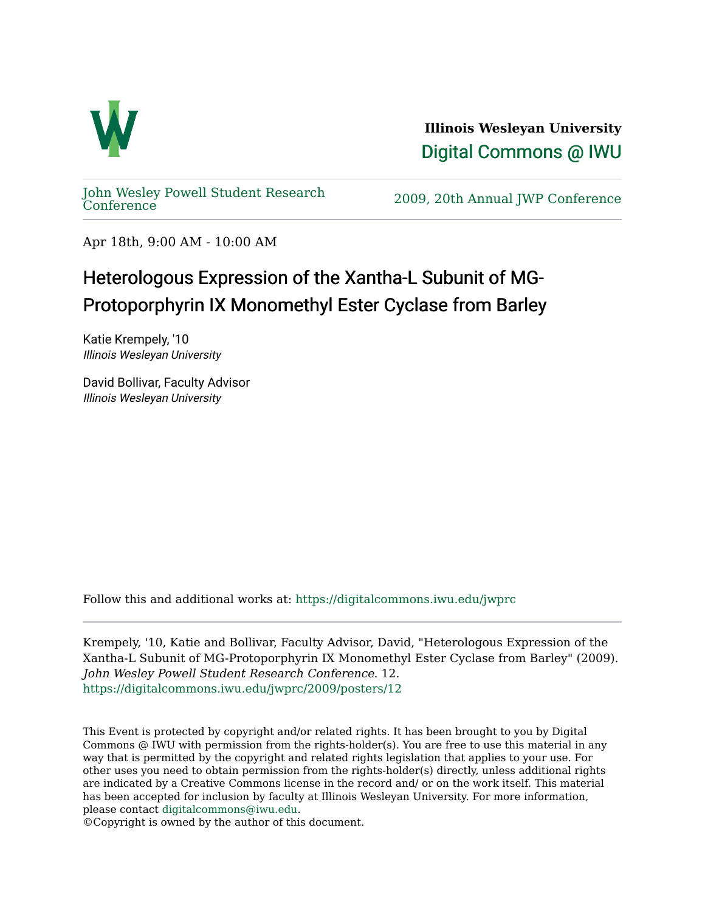

**Illinois Wesleyan University**  [Digital Commons @ IWU](https://digitalcommons.iwu.edu/) 

[John Wesley Powell Student Research](https://digitalcommons.iwu.edu/jwprc) 

2009, 20th Annual JWP [Conference](https://digitalcommons.iwu.edu/jwprc)

Apr 18th, 9:00 AM - 10:00 AM

## Heterologous Expression of the Xantha-L Subunit of MG-Protoporphyrin IX Monomethyl Ester Cyclase from Barley

Katie Krempely, '10 Illinois Wesleyan University

David Bollivar, Faculty Advisor Illinois Wesleyan University

Follow this and additional works at: [https://digitalcommons.iwu.edu/jwprc](https://digitalcommons.iwu.edu/jwprc?utm_source=digitalcommons.iwu.edu%2Fjwprc%2F2009%2Fposters%2F12&utm_medium=PDF&utm_campaign=PDFCoverPages) 

Krempely, '10, Katie and Bollivar, Faculty Advisor, David, "Heterologous Expression of the Xantha-L Subunit of MG-Protoporphyrin IX Monomethyl Ester Cyclase from Barley" (2009). John Wesley Powell Student Research Conference. 12. [https://digitalcommons.iwu.edu/jwprc/2009/posters/12](https://digitalcommons.iwu.edu/jwprc/2009/posters/12?utm_source=digitalcommons.iwu.edu%2Fjwprc%2F2009%2Fposters%2F12&utm_medium=PDF&utm_campaign=PDFCoverPages)

This Event is protected by copyright and/or related rights. It has been brought to you by Digital Commons @ IWU with permission from the rights-holder(s). You are free to use this material in any way that is permitted by the copyright and related rights legislation that applies to your use. For other uses you need to obtain permission from the rights-holder(s) directly, unless additional rights are indicated by a Creative Commons license in the record and/ or on the work itself. This material has been accepted for inclusion by faculty at Illinois Wesleyan University. For more information, please contact [digitalcommons@iwu.edu.](mailto:digitalcommons@iwu.edu)

©Copyright is owned by the author of this document.